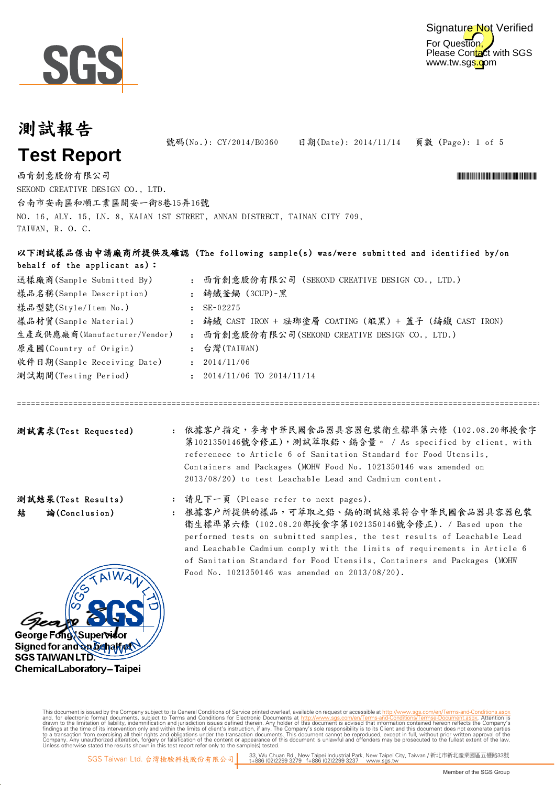



#### 測試報告

頁數 (Page): 1 of 5 號碼(No.): CY/2014/B0360 日期(Date): 2014/11/14

**Test Report**

西肯創意股份有限公司 \*CY/2014 \*CY/2014 \*CY/2014 \*CY/2014 \*CY/2014 \*CY/2014 \*CY/2014 \*CY/2014 \*CY/2014 \*CY/2014 \*CY/2014

SEKOND CREATIVE DESIGN CO., LTD. 台南市安南區和順工業區開安一街8巷15弄16號 NO. 16, ALY. 15, LN. 8, KAIAN 1ST STREET, ANNAN DISTRECT, TAINAN CITY 709, TAIWAN, R. O. C.

#### 以下測試樣品係由申請廠商所提供及確認 (The following sample(s) was/were submitted and identified by/on behalf of the applicant as):

| 送樣廠商(Sample Submitted By)    | $\mathbf{r}$   | 西肯創意股份有限公司 (SEKOND CREATIVE DESIGN CO., LTD.)          |
|------------------------------|----------------|--------------------------------------------------------|
| 樣品名稱(Sample Description)     | $\mathbf{r}$   | 鑄鐵釜鍋 (3CUP)-黑                                          |
| 樣品型號(Style/Item No.)         |                | SE-02275                                               |
| 樣品材質(Sample Material)        |                | : 鑄鐵 CAST IRON + 琺瑯塗層 COATING (緞黑) + 蓋子 (鑄鐵 CAST IRON) |
| 生產或供應廠商(Manufacturer/Vendor) | $\mathbf{r}$ . | 西肯創意股份有限公司(SEKOND CREATIVE DESIGN CO., LTD.)           |
| 原產國(Country of Origin)       |                | : 台灣(TAIWAN)                                           |
| 收件日期(Sample Receiving Date)  | ÷              | 2014/11/06                                             |
| 測試期間(Testing Period)         |                | 2014/11/06 TO 2014/11/14                               |

測試需求(Test Requested) : 依據客户指定,參考中華民國食品器具容器包裝衛生標準第六條 (102.08.20部授食字 第1021350146號令修正),測試萃取鉛、鎘含量。 / As specified by client, with referenece to Article 6 of Sanitation Standard for Food Utensils, Containers and Packages (MOHW Food No. 1021350146 was amended on 2013/08/20) to test Leachable Lead and Cadmium content.

========================================================================================================================================================

: 請見下一頁 (Please refer to next pages).

: 根據客戶所提供的樣品,可萃取之鉛、鎘的測試結果符合中華民國食品器具容器包裝 衛生標準第六條 (102.08.20部授食字第1021350146號令修正). / Based upon the performed tests on submitted samples, the test results of Leachable Lead and Leachable Cadmium comply with the limits of requirements in Article 6 of Sanitation Standard for Food Utensils, Containers and Packages (MOHW Food No. 1021350146 was amended on 2013/08/20).



Digitally signed by ww. 測試結果(Test Results)

結 論(Conclusion)

This document is issued by the Company subject to Terms and Conditions of Service printed overleaf, available on request or accessible at th<u>ttp://www.sgs.com/en/Terms-and-Conditions/Termse-Document as apx</u><br>and, for electr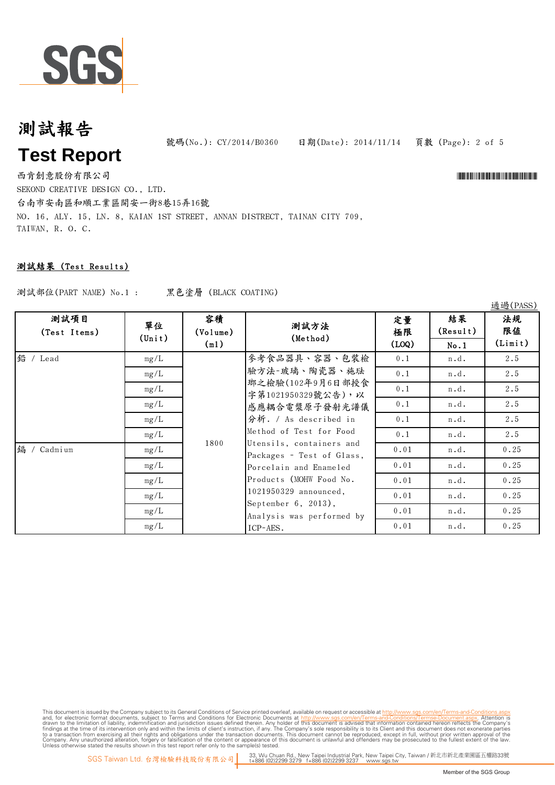

號碼(No.): CY/2014/B0360 日期(Date): 2014/11/14

頁數 (Page): 2 of 5

西肯創意股份有限公司 \*CY/2014 \*CY/2014 \*CY/2014 \*CY/2014 \*CY/2014 \*CY/2014 \*CY/2014 \*CY/2014 \*CY/2014 \*CY/2014 \*CY/2014 SEKOND CREATIVE DESIGN CO., LTD.

台南市安南區和順工業區開安一街8巷15弄16號 NO. 16, ALY. 15, LN. 8, KAIAN 1ST STREET, ANNAN DISTRECT, TAINAN CITY 709, TAIWAN, R. O. C.

#### 測試結果 (Test Results)

測試部位(PART NAME) No.1 : 黑色塗層 (BLACK COATING)

No.1 0.1 | n.d. | 2.5  $0.1$  n.d.  $2.5$  $0.1$  n.d.  $2.5$  $0.1$  n.d.  $2.5$ 0.1 | n.d. | 2.5 0.1 n.d. 2.5 0.01 n.d. 0.25 0.01 n.d. 0.25 0.01 | n.d. | 0.25 0.01 n.d. 0.25 0.01 | n.d. | 0.25 0.01 n.d. 0.25 鉛 / Lead 鎘 / Cadmium 1800 參考食品器具、容器、包裝檢 驗方法-玻璃、陶瓷器、施琺 瑯之檢驗(102年9月6日部授食 字第1021950329號公告),以 感應耦合電漿原子發射光譜儀 分析. / As described in Method of Test for Food Utensils, containers and Packages - Test of Glass, Porcelain and Enameled Products (MOHW Food No. 1021950329 announced, September 6, 2013), Analysis was performed by ICP-AES. mg/L mg/L mg/L mg/L mg/L mg/L mg/L 結果 (Result) 容積 (Volume) (ml) 單位 (Unit) mg/L 法規 限值 (Limit) 定量 極限 (LOQ) 測試方法 (Method) mg/L mg/L mg/L mg/L 測試項目 (Test Items)

This document is issued by the Company subject to Terms and Conditions of Service printed overleaf, available on request or accessible at th<u>ttp://www.sgs.com/en/Terms-and-Conditions/Termse-Document as apx</u><br>and, for electr

通過(PASS)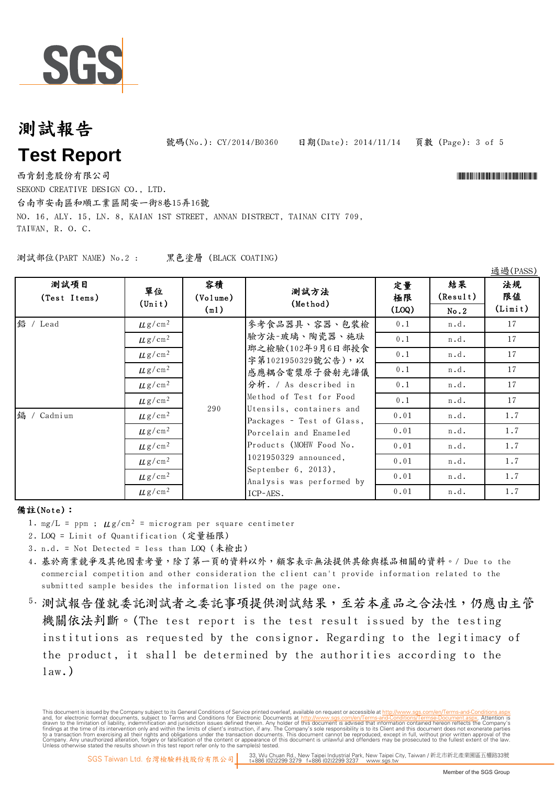

號碼(No.): CY/2014/B0360 日期(Date): 2014/11/14

頁數 (Page): 3 of 5

西肯創意股份有限公司 \*CY/2014 \*CY/2014 \*CY/2014 \*CY/2014 \*CY/2014 \*CY/2014 \*CY/2014 \*CY/2014 \*CY/2014 \*CY/2014 \*CY/2014 SEKOND CREATIVE DESIGN CO., LTD.

通過(PASS)

台南市安南區和順工業區開安一街8巷15弄16號 NO. 16, ALY. 15, LN. 8, KAIAN 1ST STREET, ANNAN DISTRECT, TAINAN CITY 709, TAIWAN, R. O. C.

測試部位(PART NAME) No.2 : 黑色塗層 (BLACK COATING)

| 測試項目<br>(Test Items) | 單位<br>$(\text{Unit})$   | 容積<br>(Volume)<br>(m1) | 測試方法<br>(Method)                                                                                                                                                                                                                                                                                                                                     | 定量<br>極限<br>(LOQ) | 結果<br>(Result)<br>No.2 | 法規<br>限值<br>(Limit) |
|----------------------|-------------------------|------------------------|------------------------------------------------------------------------------------------------------------------------------------------------------------------------------------------------------------------------------------------------------------------------------------------------------------------------------------------------------|-------------------|------------------------|---------------------|
| 鉛 / Lead             | $\mu$ g/cm <sup>2</sup> |                        | 參考食品器具、容器、包裝檢<br>驗方法-玻璃、陶瓷器、施珐<br>瑯之檢驗(102年9月6日部授食<br>字第1021950329號公告),以<br>感應耦合電漿原子發射光譜儀<br>分析. / As described in<br>Method of Test for Food<br>Utensils, containers and<br>Packages - Test of Glass,<br>Porcelain and Enameled<br>Products (MOHW Food No.<br>1021950329 announced,<br>September 6, 2013),<br>Analysis was performed by<br>ICP-AES. | 0.1               | n.d.                   | 17                  |
|                      | $\mu$ g/cm <sup>2</sup> |                        |                                                                                                                                                                                                                                                                                                                                                      | 0.1               | n.d.                   | 17                  |
|                      | $\mu$ g/cm <sup>2</sup> |                        |                                                                                                                                                                                                                                                                                                                                                      | 0.1               | n.d.                   | 17                  |
|                      | $\mu$ g/cm <sup>2</sup> |                        |                                                                                                                                                                                                                                                                                                                                                      | 0.1               | n.d.                   | 17                  |
|                      | $\mu$ g/cm <sup>2</sup> |                        |                                                                                                                                                                                                                                                                                                                                                      | 0.1               | n.d.                   | 17                  |
|                      | $\mu$ g/cm <sup>2</sup> | 290                    |                                                                                                                                                                                                                                                                                                                                                      | 0.1               | n.d.                   | 17                  |
| 鎘 / Cadmium          | $\mu$ g/cm <sup>2</sup> |                        |                                                                                                                                                                                                                                                                                                                                                      | 0.01              | n.d.                   | 1.7                 |
|                      | $\mu$ g/cm <sup>2</sup> |                        |                                                                                                                                                                                                                                                                                                                                                      | 0.01              | n.d.                   | 1.7                 |
|                      | $\mu$ g/cm <sup>2</sup> |                        |                                                                                                                                                                                                                                                                                                                                                      | 0.01              | n.d.                   | 1.7                 |
|                      | $\mu$ g/cm <sup>2</sup> |                        |                                                                                                                                                                                                                                                                                                                                                      | 0.01              | n.d.                   | 1.7                 |
|                      | $\mu$ g/cm <sup>2</sup> |                        |                                                                                                                                                                                                                                                                                                                                                      | 0.01              | n.d.                   | 1.7                 |
|                      | $\mu$ g/cm <sup>2</sup> |                        |                                                                                                                                                                                                                                                                                                                                                      | 0.01              | n.d.                   | 1.7                 |

#### 備註(Note):

- 1. mg/L = ppm ;  $\mu$ g/cm<sup>2</sup> = microgram per square centimeter
- 2. LOQ = Limit of Quantification (定量極限)
- 3. n.d. = Not Detected = less than LOQ (未檢出)
- 4. 基於商業競爭及其他因素考量,除了第一頁的資料以外,顧客表示無法提供其餘與樣品相關的資料。/ Due to the commercial competition and other consideration the client can't provide information related to the submitted sample besides the information listed on the page one.
- 5. 測試報告僅就委託測試事項提供測試結果,至若本產品之合法性,仍應由主管 機關依法判斷。(The test report is the test result issued by the testing institutions as requested by the consignor. Regarding to the legitimacy of the product, it shall be determined by the authorities according to the  $law.$ )

This document is issued by the Company subject to its General Conditions of Service printed overleaf, available on request or accessible at http://www.sqs.com/en/Terms-and-Conditions. and, for electronic format documents, subject to Terms and Conditions for Electronic Documents at http://www.sgs.com/en/Terms-and-Conditions/Terms-Document aspx. Attention is drawn to the limitation of lability, indemnific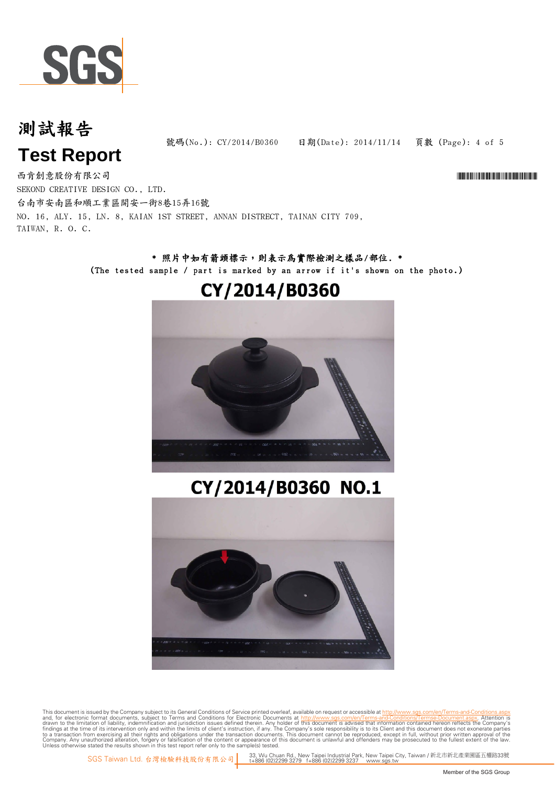

頁數 (Page): 4 of 5 號碼(No.): CY/2014/B0360 日期(Date): 2014/11/14

西肯創意股份有限公司 \*CY/2014 \*CY/2014 \*CY/2014 \*CY/2014 \*CY/2014 \*CY/2014 \*CY/2014 \*CY/2014 \*CY/2014 \*CY/2014 \*CY/2014 SEKOND CREATIVE DESIGN CO., LTD. 台南市安南區和順工業區開安一街8巷15弄16號 NO. 16, ALY. 15, LN. 8, KAIAN 1ST STREET, ANNAN DISTRECT, TAINAN CITY 709, TAIWAN, R. O. C.

#### \* 照片中如有箭頭標示,則表示為實際檢測之樣品/部位. \* (The tested sample / part is marked by an arrow if it's shown on the photo.)

#### CY/2014/B0360



# CY/2014/B0360 NO.1



This document is issued by the Company subject to Terms and Conditions of Service printed overleaf, available on request or accessible at th<u>ttp://www.sgs.com/en/Terms-and-Conditions/Termse-Document as apx</u><br>and, for electr